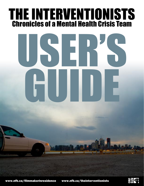# THE INTERVENTIONISTS Chronicles of a Mental Health Crisis Team

# USER'S GUIDE

www.nfb.ca/filmmakerinresidence www.nfb.ca/theinterventionists

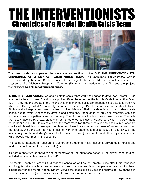# THE INTERVENTIONISTS Chronicles of a Mental Health Crisis Team



This user guide accompanies the case studies section of the DVD THE INTERVENTIONISTS: CHRONICLES OF A MENTAL HEALTH CRISIS TEAM. The 30-minute documentary, written and directed by Katerina Cizek, is one of the projects from the NFB's Filmmaker-in-Residence program at St. Michael's Hospital in Toronto. (For more information on this film and the project, visit www.nfb.ca/filmmakerinresidence).

In **THE INTERVENTIONISTS**, we see a unique crisis team work their cases in downtown Toronto. Ellen is a mental health nurse. Brandon is a police officer. Together, as the Mobile Crisis Intervention Team (MCIT), they ride the streets of the inner city in an unmarked police car, responding to 911 calls involving what are officially called "emotionally disturbed persons" (EDP). The team is a partnership between St. Michael's Hospital and two downtown police divisions. Their mandate is not only to de-escalate crises, but to avoid unnecessary arrests and emergency room visits by providing referrals, services and resources in a patient's own community. The film follows the team from case to case. The calls are hastily labelled by a 911 dispatcher as "threatened suicides", "bizarre behaviour", "person gone berserk" or simply EDP. In a single night, the team faces two threatened suicides, checks in on a tenant convinced his neighbours are spying on him, and investigates numerous cases of violent behaviour on the streets. Once the team arrives on scene, with time, patience and expertise, they peel away at the labels, to get at the underlying causes for the crisis, revealing the complex and often tragic situations in which people with mental illnesses live.

This guide is intended for educators, trainers and students in high schools, universities, nursing and medical schools as well as police colleges.

It offers a spectrum of answers and perspectives to the questions posed in the eleven case studies, included as special features on the DVD.

The mental health workers at St. Michael's Hospital as well as the Toronto Police offer their responses and insights. At a special screening session, two consumer survivors (people who have had first-hand experience with the mental health system) viewed the cases and provided their points of view on the film and the issues. This guide provides excerpts from their answers for each case.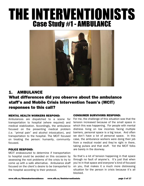# THE INTERVENTIONISTS Case Study #1 - AMBULANCE



# 1. AMBULANCE What differences did you observe about the ambulance staff's and Mobile Crisis Intervention Team's (MCIT) responses to this call?

#### MENTAL HEALTH WORKERS RESPOND:

Ambulances are dispatched to a scene for transportation to hospital (where required) and medical stabilization. Accordingly, the ambulance focused on the presenting medical problem (i.e. "primal pain" and alcohol intoxication), and transportation to the hospital. The MCIT focused on treating the person: humanity, communityfocused.

#### POLICE RESPOND:

MCIT endeavoured to determine if transportation to hospital could be avoided on this occasion by assessing the root problems of the crisis to try to come up with a safe alternative. Ambulance staff focused on the client's desire to be transported to the hospital according to their protocol.

#### CONSUMER SURVIVORS RESPOND:

For me, the challenge of this situation was that the tension increased because of the small space in which this was happening. For people with mental distress living on low incomes facing multiple barriers, personal space is a big issue. And often we don't have a lot of personal space. In this case, the ambulance workers were doing their job from a medical model and they're right in there, taking pulses and that stuff. Yet the MCIT folks are barely in the doorway.

So that's a lot of tension happening in that space through no fault of anyone's. It's just that when you're in that space and everyone's kind of focused on you, that makes it a much more distressing situation for the person in crisis because it's all blocked.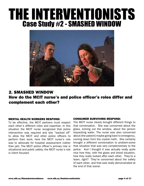# THE INTERVENTIONISTS Case Study #2 - SMASHED WINDOW



## 2. SMASHED WINDOW How do the MCIT nurse's and police officer's roles differ and complement each other?

### MENTAL HEALTH WORKERS RESPOND:

To be effective, the MCIT partners must respect each other's different roles and expertise. In this situation the MCIT nurse recognized that police intervention was required and she "backed off" to allow the MCIT and other police officers to perform their work; here the MCIT nurse's role was to advocate for hospital assessment (rather than jail). The MCIT police officer's primary role is situational and public safety; the MCIT nurse's role is client focused.

### CONSUMER SURVIVORS RESPOND:

The MCIT nurse clearly brought different things to that conversation. She was concerned about the glass, kicking out the window, about the person requesting water. The nurse was also concerned about [the patient] maybe going back to emergency, coming down from the crystal meth. She certainly brought a different conversation to problem-solve that situation that was very complementary to the police. And I thought it was actually really quite nice how they, with the glass and blood situation, how they really looked after each other. They're a team, right? They're concerned about the safety of each other, and that was really demonstrated at the end of that scene.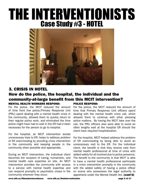# THE INTERVENTIONISTS Case Study #3 - HOTEL



### 3. CRISIS IN HOTEL

### MENTAL HEALTH WORKERS RESPOND: How do the police, the hospital, the individual and the community-at-large benefit from this MCIT intervention? POLICE RESPOND:

For the police, the MCIT reduced the amount of time front line police/Primary Response Unit (PRU) spent dealing with a mental health crisis in the community, allowed them to quickly return to their regular police work, and eliminated the time police might have had to wait in the ER had it been necessary for the person to go to hospital.

For the hospital, an MCIT intervention avoids unnecessary trips to ER; helps to address problem of ER overcrowding by providing crisis intervention in the community and keeping people in the community when possible and appropriate.

During an MCIT intervention, the individual client becomes the recipient of caring, humanistic, and mental health care expertise on site. An MCIT intervention provides the community with access to a service with mental health expertise and can respond promptly to psychiatric crises in the community wherever they occur.

For the police, the MCIT reduced the amount of time that Primary Response Unit officers spent dealing with the mental health crisis call, which allowed them to continue with other pressing police matters. By having the MCIT take over the call, the PRU officers also were able to avoid an often lengthy wait at the hospital ER should the client have required hospitalization.

For the hospital, MCIT helped address the problem of ER overcrowding by being able to avoid an unnecessary visit to the ER. For the individual client, the benefit is that they receive care from mental health professional at time of crisis with added safety for all involved due to police presence. The benefit to the community is that MCIT is able to have a mental health professional participate in a crisis intervention promptly in the community with the added safety of having a police officer on scene who possesses the legal authority to apprehend under the Mental Health Act. (cont'd)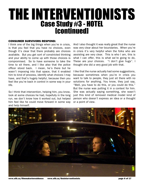# THE INTERVENTIONISTS Case Study #3 - HOTEL [continued]

#### CONSUMER SURVIVORS RESPOND:

I think one of the big things when you're in crisis, is that you feel that you have no choices, even though it's clear that there probably are choices available. But you get sort of constricted thinking and your ability to come up with those choices is compromised. So to have someone to take the time to sit there, and I like also that the police officer stood back. I mean, he's there but he wasn't imposing into that space, that it enabled him to kind of process, identify what choices I may have, and that's hugely helpful, because then you feel like you're back in control in some way in your life.

So I think that intervention, helping him, you know, look at some choices he had, hopefully in the long run, we don't know how it worked out, but helped him feel like he could move forward in some way and help himself.

And I also thought it was really great that the nurse was very clear about her boundaries. When you're in crisis it's very helpful when the folks who are assisting are very clear. This is who I am, this is what I can offer, this is what we're going to do, These are your choices. "I don't give hugs". I thought she did a very good job with that.

I like that the nurse actually had some suggestions, because sometimes when you're in crisis you want to talk to people, they just sit there with no solutions for anything. You know, they just say, "Well, you have to do this, or you could do this." But the nurse was putting it in a context for him. She was actually saying something, she wasn't just this kind of removed medical model kind of person who doesn't express an idea or a thought or a point of view.



www.nfb.ca/filmmakerinresidence www.nfb.ca/theinterventionists page 6 of 17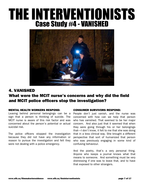# THE INTERVENTIONISTS Case Study #4 - VANISHED



## 4. VANISHED What were the MCIT nurse's concerns and why did the field and MCIT police officers stop the investigation?

### MENTAL HEALTH WORKERS RESPOND:

Leaving behind personal belongings can be a sign that a person is thinking of suicide. The MCIT nurse is aware of this risk factor and was concerned about the person's potential or actual suicidal risk.

The police officers stopped the investigation because they did not have any information or reason to pursue the investigation and felt they were not dealing with a police emergency.

#### CONSUMER SURVIVORS RESPOND:

People don't just vanish, and the nurse was concerned with how can we help that person who has vanished. That seemed to be her major concern. And also just that it seemed that when they were going through his or her belongings that—I don't know, it felt to me that she was doing that in a less clinical way. She brought a different perspective that sort of humanized that person who was previously engaging in some kind of confusing behaviour.

And the poetry, that's a very personal thing. Anyone who keeps a journal knows what that means to someone. And something must be very distressing if one was to leave that, and to have that exposed to other strangers.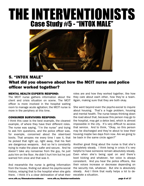# THE INTERVENTIONISTS Case Study #5 - "INTOX MALE"



### 5. "INTOX MALE" What did you observe about how the MCIT nurse and police officer worked together?

### MENTAL HEALTH EXPERTS RESPOND:

The MCIT nurse gathers information about the client and crisis situation on scene. The MCIT officer is more involved in the hospital waiting room to manage acute agitation; the MCIT nurse is more in the periphery at this time.

#### CONSUMER SURVIVORS RESPOND:

I think this case is the best example, the clearest example, of where they have their different roles. The nurse was saying, "I'm the nurse" and trying to ask him questions, and the police officer was, for example, concerned about the steel-toed boots. That amazes me every time I see it, that he picked that right up, right away, that his feet are dangerous weapons. And so he's constantly trying to make the place safer and secure. And he doesn't take any nonsense from the guy, he just puts him on the floor. He didn't hurt him but he just warned him once and that was it.

And meanwhile the nurse is getting information from the house, finding out about his psycho-social history, relaying that to the hospital when she gets there. I think it's a clear delineation of what their

roles are and how they worked together, like how they care about each other, how they're a team. Again, making sure that they are both okay.

She went beyond even the psycho-social to inquire about housing. That's a huge problem, housing and mental health. The nurse keeps thinking down the road about that, because this person may go to the hospital, may get a detox bed, which is almost impossible in the city. It's very difficult to access that service. And to think, "Okay, so this person may be discharged and they're about to lose their housing maybe two days from now. Are we going to be back in the same circle again?"

Another great thing about the nurse is that she's completely steady. I think being in crisis it's very helpful to have someone remain absolutely steady. Even when she's being spat on and there's boot kicking and whatever, her voice is always consistent. And you hear the police officers, like their voices increase or decrease depending on the security risk, whatever. But she is absolutely steady. And I think that really helps a lot to deescalate a situation.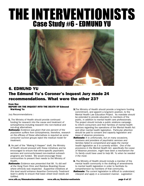# THE INTERVENTIONISTS Case Study #6 - EDMUND YU



### 6. EDMUND YU The Edmund Yu's Coroner's Inquest Jury made 24 recommendations. What were the other 23?

#### from the: REPORT ON THE INQUEST INTO THE DEATH OF Edmond Wai-Kong Yu

Jury Recommendations :

- **1.** The Ministry of Health should provide continued funding for research into the cause and treatment of schizophrenia including research into non-medical and non-drug alternatives.
- Rationale: Evidence was given that one percent of the population suffers from schizophrenia, therefore, research on the efficacy of these alternatives is required as some consumer survivor groups reject the medical model for treatment.
- 2. As part of the "Making It Happen" draft, the Ministry of Health should proceed with these initiatives and be encouraged to ensure that ethno-specific psychiatric services and community-based non-medical outreach programs are funded. We would encourage these communities to present their needs to the Ministry of Health.
- Rationale: Evidence was presented that Mr. Yu did well at the Hong Fook Clinic and Rainbow Boarding House where ethnicity was respected. Supportive initiatives at this level would enhance Assertive Community Treatment team's ability to ensure that basic street level needs are fulfilled.
- **3.** The Ministry of Health should provide a long-term funding commitment, and appoint a long-term position, to the Mental Health Law Education Project. Its mandate should be extended to provide education to members of the public, in addition to mental health care professionals. The project should include a public relations campaign to inform consumers and their families of mental health services regarding the operations of the Mental Health Act and other mental health legislation. Particular attention should be paid to consent and capacity legislation and leave of absence provisions.
- Rationale: It is unfortunate, but on many occasions, receivers and providers of psychiatric services and families failed to comprehend and apply the mental health legislation as it is currently written. One of the provisions in the Mental Health Act, specifically the Leave of Absence provision, might have been a mechanism the Yu family could have used to help Mr. Yu when he needed it the most.
- 4. The Ministry of Health should include a member of the mental health community in the drafting of amendments to mental health legislation in order to facilitate its comprehension by members of that community. Rationale: The current legislation is difficult to understand, interpret and apply in a consistent manner. Legislation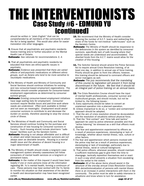# THE INTERVENTIONISTS Case Study #6 - EDMUND YU [continued]

should be written in "plain English" that can be comprehended by all members of the community to whom the Act is being applied. This would also allow for easier translation into other languages.

**5.** Ensure that all psychiatrists and psychiatric residents receive training and/or further education on the Mental Health Law of Ontario.

**Rationale:** See rationale for recommendations 3, 4.

- 6. That all psychiatrists and psychiatric residents be educated that there are ethno-specific issues in psychiatry.
- Rationale: Evidence was presented that there are varied effects of anti-psychotic medications on different ethnic groups, such as Asians who tend to be more sensitive to neuroleptic medications.
- **7.**The Ministry of Health and Ministry of Community and Social Services should continue initiatives for existing and new consumer-based employment organizations. The Ministries should consider proposals for consumer-based employment organizations as determined by consumer survivor groups.
- **Rationale:** Existing consumer-based employment initiatives have large waiting lists for employment. Consumer survivors require flexible hours and part-time work where needs are understood. Often work available is limited and not seen as meaningful. Employment would assist consumer survivors to contribute to and decrease the burden on society, therefore assisting to stop the vicious circle of illness.
- 8. The Ministries of Health and Community and Social Services should continue funding for the purchase and construction of new housing for consumer survivors in Toronto. Such housing should include short-term "safehouse" facilities such as the Gerstein Centre.
- **Rationale:** Housing is not always affordable and is difficult to obtain and retain because consumer survivors are not always seen as desirable tenants. Housing is a mental health issue and the absence of decent housing is a major determinant of health.
- **9.** The Ministry of Health should create a long-term case management system whereby caseworkers will follow consumers of mental health services on a long-term or permanent basis.
- Rationale: In the matter of this inquest it would have been helpful if one or more persons knew all the information regarding Mr. Yu's mental health, forming a continuum of care. These persons may have worked with the Yu family to monitor his situation so that awareness of his decline in health and decompensation may have been recognized earlier.
- **10.** We recommend that the Ministry of Health consider reducing the number of A.C.T. teams and redirecting this share of the funds for non-medical "safe-houses" such as the Gerstein Centre.
- **Rationale:** The Ministry of Health should be responsive to the deficiencies in the system as identified by consumer survivors, specifically lack of safe housing where their special needs are understood and accommodated. The diverted funds from the A.C.T. teams would allow for the creation of this housing.
- 11. The Solicitor General should amend the Police Services Act to require annual Crisis Resolution training, of at least one day, in addition to annual use of force training. Priority should be given to front line officers; however, this training should be delivered to command officers and senior managers as well.
- **Rationale:** The jury recommends that the mandating of this course by legislation will prevent it from being discontinued in the future. We feel that it should be an integral part of police training on an annual basis.
- **12.** The Crisis Resolution Course should have the input of mental health professionals, consumer survivor and multicultural groups, and should include, but not be limited to, the following issues :
- A. Every opportunity should be taken to convert an unplanned operation into a planned operation.
- B. Unless impractical to do so, a "cordon and containment" approach should be adopted.
- C. That the aim of crisis resolution should be de-escalation and the resolution of situations without physical force.
- D. That the "first contact" and "time talk and tactics" approach be used by police whenever possible and that "active listening" be stressed as a skill that officers must develop.
- E. The fear and apprehension experienced by officers as a result of previous experiences, stereotyping or lack of knowledge, whether about mental illness, race, culture or other factors.
- F.The fear and apprehension which persons involved with the police may feel as a result of previous experiences, stereotyping or lack of knowledge, particularly due to mental illness, racial or cultural background.
- G. That police officers, whenever possible, should maintain a sufficient reactionary gap to give them the time to disengage, tactically reposition themselves and or react in such a way which prevents a situation from escalating from the verbal to the violent.
- **Rationale:** All of the above items should assist in the structure of the one-day annual Crisis Resolution Course. With deinstitutionalization of persons with mental illness there is an increase in police interactions with them in the community. The police must be able to safely intervene in situations and know where to turn for assistance.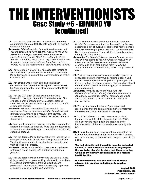# THE INTERVENTIONISTS Case Study #6 - EDMUND YU [continued]

- **13.** That the five day Crisis Resolution course be offered as a training course at C.O. Bick College until all existing officers are trained.
- Rationale: Crisis Resolution is taught to all recruits. All existing officers who have not previously received Crisis Resolution training will receive the current five-day course that commenced March 11, 1999 until all are trained. Thereafter, the proposed legislated annual Crisis Resolution course, taken with the Annual Use of Force course, will be the mechanism for continuing this training.
- 14. The Toronto City Council provide adequate funding to allow the Toronto Police Service Board and the Toronto Police Service to implement the recommendations of this Coroner's jury.
- **15.** That officers who work in divisions with higher concentrations of persons suffering from mental illness be given priority on the list of officers entering the Crisis Resolution course.
- 16. That the C.O. Brick College evaluate the Crisis Resolution training to determine its effectiveness. The evaluation should include survey research, detailed interviews and/or performance appraisals of a proportion of graduate officers.
- **Rationale:** Evidence showed that there needs to be a mechanism that can determine whether behaviours and attitudes are changed as a result of this training. The course should be adapted to reflect the defined needs of the officers.
- 17. Continue decentralized training, using Live-Link or other approved methods, at those divisions that are determined to have a proportionately high concentration of emotionally disturbed persons.
- 18. That the Toronto Police Service follow the lead of the 57 other police forces in Ontario who have joined the Video Training Alliance in order to provide better decentralized training to its [sic] officers.
- Rationale: Evidence showed that there was a duplication of training videos dealing with emotionally disturbed persons.
- 19. That the Toronto Police Service and the Ontario Police College establish a closer working relationship to facilitate the sharing of information, training expertise, and professional exchanges to avoid unnecessary duplication or delivery of conflicting training programs.
- 20. The Toronto Police Service Board should direct the Chief of Police to ensure that the Toronto Police Service assembles a list of available crisis teams with telephone numbers according to police division in the Toronto area. Such information should be available to front line officers through their dispatchers.
- Rationale: The Toronto Police service could make greater use of these teams to facilitate peaceful resolution of crises and to link persons to appropriate resources. Evidence was given that a crisis team would have attended the bus on February 20, 1997 if they had been called.
- 21. That representatives of consumer survivor groups, in consultation with the Community Policing Support Unit should develop a pamphlet for police to give to persons in crisis on how to access services. The pamphlet should be prepared in several different languages to serve our diverse community.
- **Rationale:** Front-line police are interacting with deinstitutionalized emotionally disturbed persons on a daily basis. A combined effort of these groups would lessen the burden on police and ensure consumer survivor input.
- **22.** The jury endorses the Use of Force report and recommends that the Toronto Police Service implement the recommendations contained in this report.
- 23. That the Office of the Chief Coroner, on or about the anniversary date of this inquest, April 16, 2000, will discover and make public the progress of the implementation of the recommendations made by this jury.
- 24. It would be remiss of this jury not to comment on the issue of forced medication for those mentally ill persons who have a history of demonstrated dangerousness to the public.

We feel strongly that the public must be protected. Failure to take corrective medication may require the law to be changed to state that the alternative would be involuntary hospitalization in a mental health facility.

It is recommended that the Ministry of Health address this problem and attempt to reach a solution.

 August 2006 Prepared by the Office of the Chief Coroner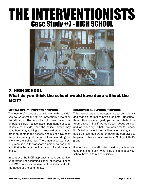# THE INTERVENTIONISTS Case Study #7 - HIGH SCHOOL



# 7. HIGH SCHOOL What do you think the school would have done without the MCIT?

#### MENTAL HEALTH EXPERTS RESPOND:

The teachers' anxieties about dealing with "suicide" can cause angst for others, potentially escalating the situation. The school would have called the ambulance [with police accompaniment because of issue of suicide]  $-\text{and}$  the police uniform may have been stigmatizing a 14-year old as well as to other students in the school, who might have seen the police arriving at the school and escorting the client to the police car. The ambulance team's $s<sup>2</sup>$ only recourse is to transport a person to hospital, and that reflects a medicalization of a situational crisis.

In contrast, the MCIT approach is soft, supportive, understanding; decriminalization of mental illness and MCIT balances the needs of the individual with the needs of the community.

### CONSUMER SURVIVORS RESPOND:

This case shows that teenagers are taken seriously and that it's normal to have problems. Because I think often society  $-$  just, you know, labels it as 'teen angst'. But if we don't talk about suicide, and we won't try to help, we won't try to unpack it. By talking about mental illness or talking about suicide prevention we're empowering ourselves to help each other and our own lives. So I think that's great.

It would also be worthwhile to ask any school who uses this film to ask "What kind of plans does your school have in terms of suicide?"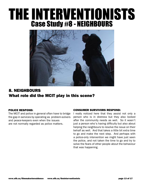# THE INTERVENTIONISTS Case Study #8 - NEIGHBOURS



# 8. NEIGHBOURS What role did the MCIT play in this scene?

### POLICE RESPOND:

The MCIT and police in general often have to bridge the gap in services by operating as problem-solvers and peace-keepers even when the issues are not normally regarded as police matters.

#### CONSUMER SURVIVORS RESPOND:

I really noticed here that they assist not only a person who is in distress but they also looked after the community needs as well. So it wasn't just a person who's having difficulty but also about helping the neighbours to resolve the issue on their behalf as well. And that takes a little bit extra time to go and make the next step. And perhaps with a police-only intervention we might have just seen the police, and not taken the time to go and try to solve the fears of other people about the behaviour that was happening.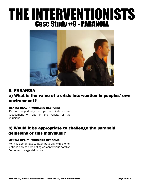# THE INTERVENTIONISTS Case Study #9 - PARANOIA



### 9. PARANOIA

### a) What is the value of a crisis intervention in peoples' own environment?

### MENTAL HEALTH WORKERS RESPOND:

It's an opportunity to get an independent assessment on site of the validity of the delusions.

### b) Would it be appropriate to challenge the paranoid delusions of this individual?

### MENTAL HEALTH WORKERS RESPOND:

No. It is appropriate to attempt to ally with clients' distress only as areas of agreement versus conflict. Do not encourage delusions.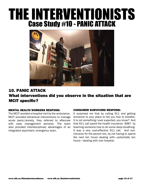# THE INTERVENTIONISTS Case Study #10 - PANIC ATTACK



# 10. PANIC ATTACK What interventions did you observe in the situation that are MCIT specific?

### MENTAL HEALTH WORKERS RESPOND:

The MCIT avoided a hospital visit by the ambulance. MCIT provided behavioral interventions to manage acute panic/anxiety, they referred to aftercare with case management services. The team also provided interdisciplinary advantages of an integrated psychiatric emergency team.

#### CONSUMER SURVIVORS RESPOND:

It surprised me that by calling 911 and getting someone to your place to tell you how to breathe. It is not something I ever expected, you know? And that 911 call saved the health insurance \$987 by teaching someone how to do some deep breathing. It was a very cost-effective 911 call. And nonintrusive for the person too, by not having to spend the next ten hours dealing with—potentially ten hours—dealing with one hospital.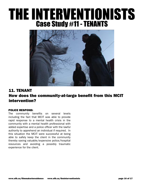# THE INTERVENTIONISTS Case Study #11 - TENANTS



# 11. TENANT How does the community-at-large benefit from this MCIT intervention?

### POLICE RESPOND:

The community benefits on several levels including the fact that MCIT was able to provide rapid response to a mental health crisis in the community with a mental health professional with added expertise and a police officer with the lawful authority to apprehend an individual if required. In this situation the MCIT were successful at being able to safely keep the client in the community thereby saving valuable/expensive police/hospital resources and avoiding a possibly traumatic experience for the client.